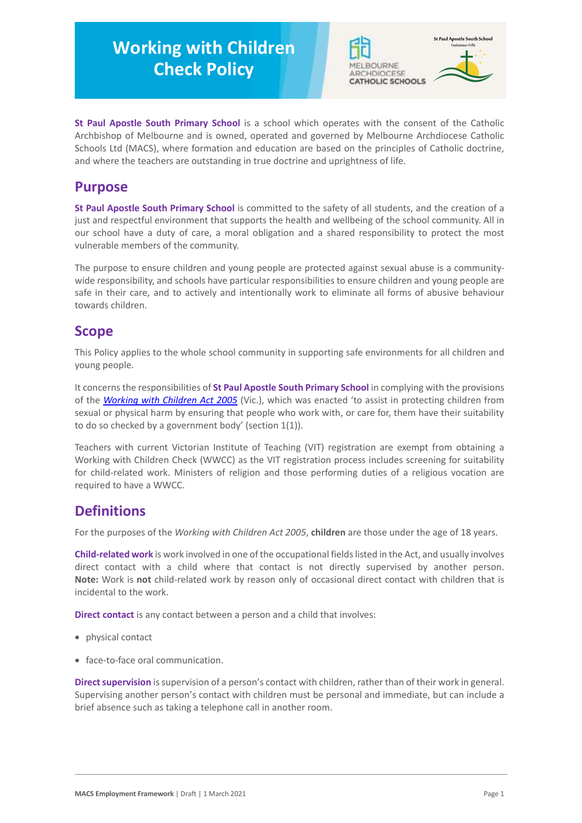# **Working with Children Check Policy**



**St Paul Apostle South Primary School** is a school which operates with the consent of the Catholic Archbishop of Melbourne and is owned, operated and governed by Melbourne Archdiocese Catholic Schools Ltd (MACS), where formation and education are based on the principles of Catholic doctrine, and where the teachers are outstanding in true doctrine and uprightness of life.

### **Purpose**

**St Paul Apostle South Primary School** is committed to the safety of all students, and the creation of a just and respectful environment that supports the health and wellbeing of the school community. All in our school have a duty of care, a moral obligation and a shared responsibility to protect the most vulnerable members of the community.

The purpose to ensure children and young people are protected against sexual abuse is a communitywide responsibility, and schools have particular responsibilities to ensure children and young people are safe in their care, and to actively and intentionally work to eliminate all forms of abusive behaviour towards children.

## **Scope**

This Policy applies to the whole school community in supporting safe environments for all children and young people.

It concerns the responsibilities of **St Paul Apostle South Primary School** in complying with the provisions of the *[Working with Children Act 2005](https://www.legislation.vic.gov.au/as-made/acts/working-children-act-2005)* (Vic.), which was enacted 'to assist in protecting children from sexual or physical harm by ensuring that people who work with, or care for, them have their suitability to do so checked by a government body' (section 1(1)).

Teachers with current Victorian Institute of Teaching (VIT) registration are exempt from obtaining a Working with Children Check (WWCC) as the VIT registration process includes screening for suitability for child-related work. Ministers of religion and those performing duties of a religious vocation are required to have a WWCC.

# **Definitions**

For the purposes of the *Working with Children Act 2005*, **children** are those under the age of 18 years.

**Child-related work** is work involved in one of the occupational fields listed in the Act, and usually involves direct contact with a child where that contact is not directly supervised by another person. **Note:** Work is **not** child-related work by reason only of occasional direct contact with children that is incidental to the work.

**Direct contact** is any contact between a person and a child that involves:

- physical contact
- face-to-face oral communication.

**Direct supervision** is supervision of a person's contact with children, rather than of their work in general. Supervising another person's contact with children must be personal and immediate, but can include a brief absence such as taking a telephone call in another room.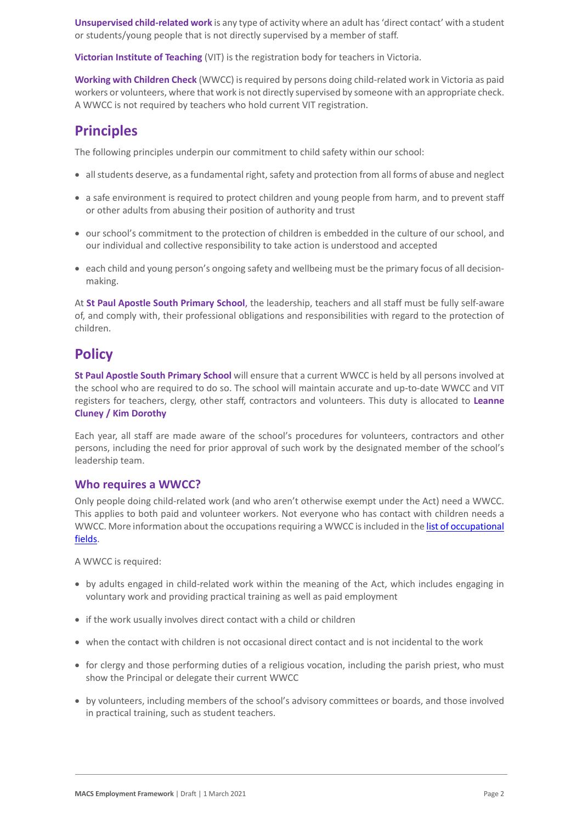**Unsupervised child-related work** is any type of activity where an adult has 'direct contact' with a student or students/young people that is not directly supervised by a member of staff.

**Victorian Institute of Teaching** (VIT) is the registration body for teachers in Victoria.

**Working with Children Check** (WWCC) is required by persons doing child-related work in Victoria as paid workers or volunteers, where that work is not directly supervised by someone with an appropriate check. A WWCC is not required by teachers who hold current VIT registration.

# **Principles**

The following principles underpin our commitment to child safety within our school:

- all students deserve, as a fundamental right, safety and protection from all forms of abuse and neglect
- a safe environment is required to protect children and young people from harm, and to prevent staff or other adults from abusing their position of authority and trust
- our school's commitment to the protection of children is embedded in the culture of our school, and our individual and collective responsibility to take action is understood and accepted
- each child and young person's ongoing safety and wellbeing must be the primary focus of all decisionmaking.

At **St Paul Apostle South Primary School**, the leadership, teachers and all staff must be fully self-aware of, and comply with, their professional obligations and responsibilities with regard to the protection of children.

# **Policy**

**St Paul Apostle South Primary School** will ensure that a current WWCC is held by all persons involved at the school who are required to do so. The school will maintain accurate and up-to-date WWCC and VIT registers for teachers, clergy, other staff, contractors and volunteers. This duty is allocated to **Leanne Cluney / Kim Dorothy**

Each year, all staff are made aware of the school's procedures for volunteers, contractors and other persons, including the need for prior approval of such work by the designated member of the school's leadership team.

#### **Who requires a WWCC?**

Only people doing child-related work (and who aren't otherwise exempt under the Act) need a WWCC. This applies to both paid and volunteer workers. Not everyone who has contact with children needs a WWCC. More information about the occupations requiring a WWCC is included in the list of occupational [fields.](https://www.workingwithchildren.vic.gov.au/about-the-check/resources/list-of-occupational-fields)

A WWCC is required:

- by adults engaged in child-related work within the meaning of the Act, which includes engaging in voluntary work and providing practical training as well as paid employment
- if the work usually involves direct contact with a child or children
- when the contact with children is not occasional direct contact and is not incidental to the work
- for clergy and those performing duties of a religious vocation, including the parish priest, who must show the Principal or delegate their current WWCC
- by volunteers, including members of the school's advisory committees or boards, and those involved in practical training, such as student teachers.